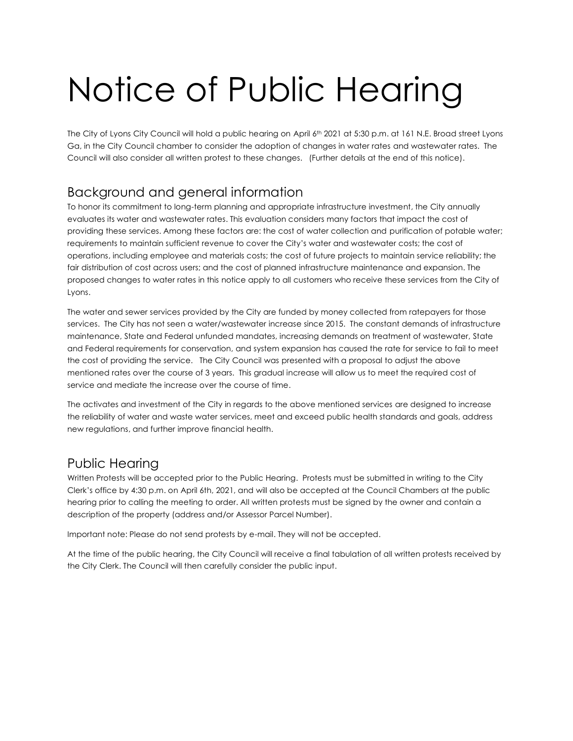# Notice of Public Hearing

The City of Lyons City Council will hold a public hearing on April 6<sup>th</sup> 2021 at 5:30 p.m. at 161 N.E. Broad street Lyons Ga, in the City Council chamber to consider the adoption of changes in water rates and wastewater rates. The Council will also consider all written protest to these changes. (Further details at the end of this notice).

### Background and general information

To honor its commitment to long-term planning and appropriate infrastructure investment, the City annually evaluates its water and wastewater rates. This evaluation considers many factors that impact the cost of providing these services. Among these factors are: the cost of water collection and purification of potable water; requirements to maintain sufficient revenue to cover the City's water and wastewater costs; the cost of operations, including employee and materials costs; the cost of future projects to maintain service reliability; the fair distribution of cost across users; and the cost of planned infrastructure maintenance and expansion. The proposed changes to water rates in this notice apply to all customers who receive these services from the City of Lyons.

The water and sewer services provided by the City are funded by money collected from ratepayers for those services. The City has not seen a water/wastewater increase since 2015. The constant demands of infrastructure maintenance, State and Federal unfunded mandates, increasing demands on treatment of wastewater, State and Federal requirements for conservation, and system expansion has caused the rate for service to fail to meet the cost of providing the service. The City Council was presented with a proposal to adjust the above mentioned rates over the course of 3 years. This gradual increase will allow us to meet the required cost of service and mediate the increase over the course of time.

The activates and investment of the City in regards to the above mentioned services are designed to increase the reliability of water and waste water services, meet and exceed public health standards and goals, address new regulations, and further improve financial health.

#### Public Hearing

Written Protests will be accepted prior to the Public Hearing. Protests must be submitted in writing to the City Clerk's office by 4:30 p.m. on April 6th, 2021, and will also be accepted at the Council Chambers at the public hearing prior to calling the meeting to order. All written protests must be signed by the owner and contain a description of the property (address and/or Assessor Parcel Number).

Important note: Please do not send protests by e-mail. They will not be accepted.

At the time of the public hearing, the City Council will receive a final tabulation of all written protests received by the City Clerk. The Council will then carefully consider the public input.